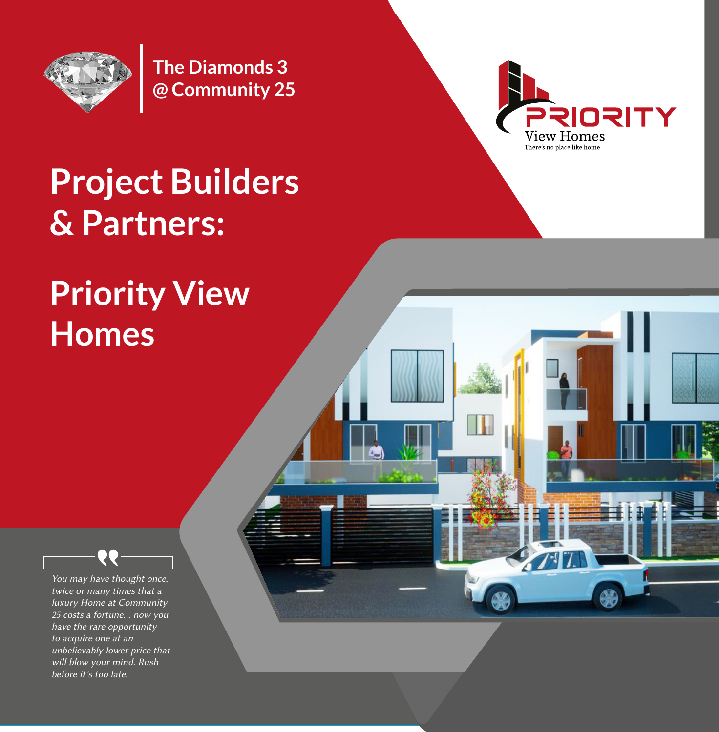

**The Diamonds 3 @ Community 25**



 $7 - 1$ 

## **Project Builders & Partners:**

# **Priority View Homes**

You may have thought once, twice or many times that a luxury Home at Community 25 costs a fortune... now you have the rare opportunity to acquire one at an unbelievably lower price that will blow your mind. Rush before it's too late.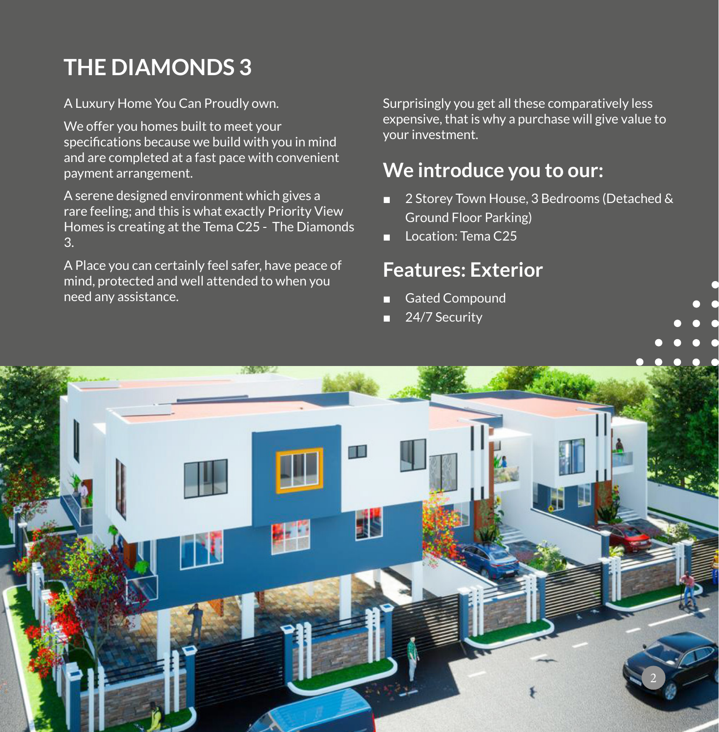## **THE DIAMONDS 3**

A Luxury Home You Can Proudly own.

We offer you homes built to meet your specifications because we build with you in mind and are completed at a fast pace with convenient payment arrangement.

A serene designed environment which gives a rare feeling; and this is what exactly Priority View Homes is creating at the Tema C25 - The Diamonds 3.

A Place you can certainly feel safer, have peace of mind, protected and well attended to when you need any assistance.

Surprisingly you get all these comparatively less expensive, that is why a purchase will give value to your investment.

## **We introduce you to our:**

- 2 Storey Town House, 3 Bedrooms (Detached & Ground Floor Parking)
- Location: Tema C25

### **Features: Exterior**

- **Gated Compound**
- 24/7 Security

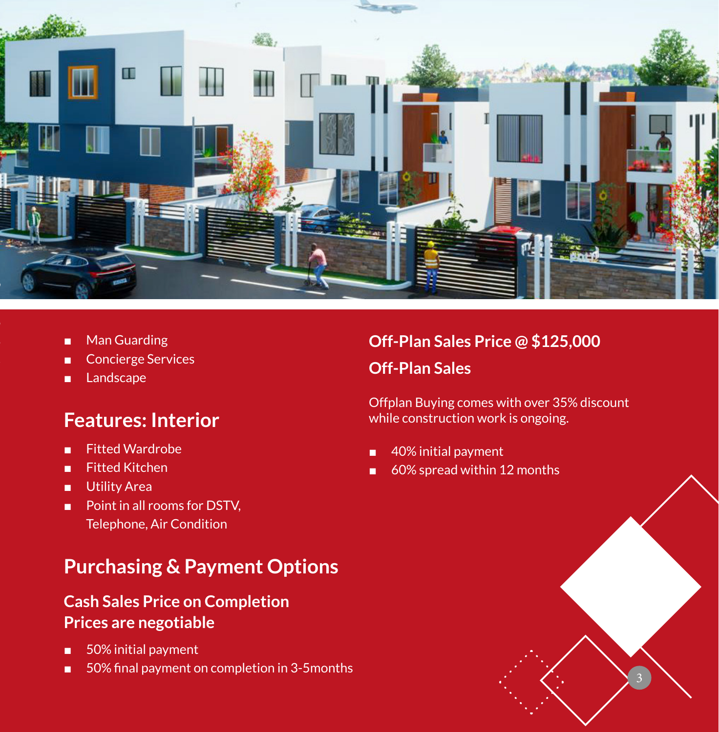

- Man Guarding
- Concierge Services
- Landscape

#### **Features: Interior**

- Fitted Wardrobe
- Fitted Kitchen
- Utility Area
- Point in all rooms for DSTV. Telephone, Air Condition

### **Purchasing & Payment Options**

#### **Cash Sales Price on Completion Prices are negotiable**

- 50% initial payment
- 50% final payment on completion in 3-5months

#### **Off-Plan Sales Price @ \$125,000 Off-Plan Sales**

Offplan Buying comes with over 35% discount while construction work is ongoing.

- 40% initial payment
- 60% spread within 12 months